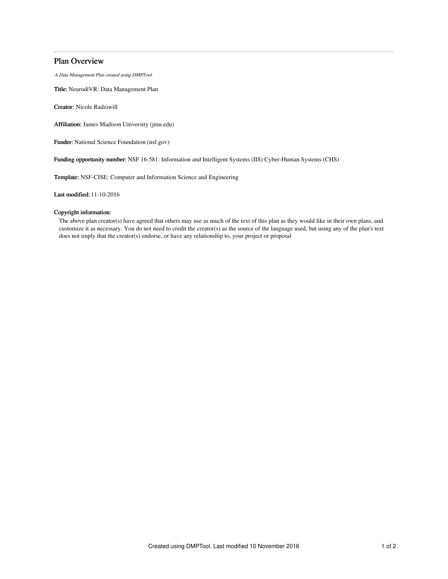# Plan Overview

A Data Management Plan created using DMPTool

Title: NeurodiVR: Data Management Plan

Creator: Nicole Radziwill

Affiliation: James Madison University (jmu.edu)

Funder: National Science Foundation (nsf.gov)

Funding opportunity number: NSF 16-581: Information and Intelligent Systems (IIS) Cyber-Human Systems (CHS)

Template: NSF-CISE: Computer and Information Science and Engineering

Last modified: 11-10-2016

# Copyright information:

The above plan creator(s) have agreed that others may use as much of the text of this plan as they would like in their own plans, and customize it as necessary. You do not need to credit the creator(s) as the source of the language used, but using any of the plan's text does not imply that the creator(s) endorse, or have any relationship to, your project or proposal